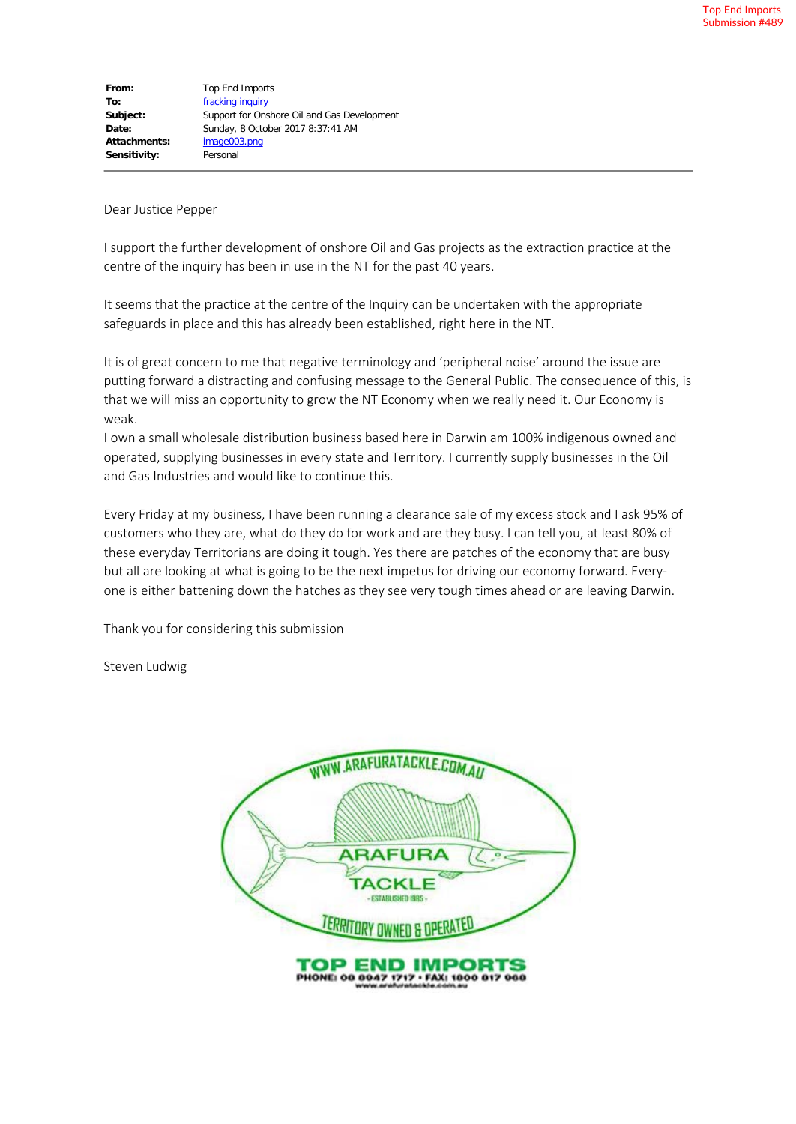**From:** Top End Imports **To:** [fracking inquiry](mailto:fracking.inquiry@nt.gov.au) **Subject:** Support for Onshore Oil and Gas Development **Date:** Sunday, 8 October 2017 8:37:41 AM **Attachments:** image003.png **Sensitivity:** Personal

Dear Justice Pepper

I support the further development of onshore Oil and Gas projects as the extraction practice at the centre of the inquiry has been in use in the NT for the past 40 years.

It seems that the practice at the centre of the Inquiry can be undertaken with the appropriate safeguards in place and this has already been established, right here in the NT.

It is of great concern to me that negative terminology and 'peripheral noise' around the issue are putting forward a distracting and confusing message to the General Public. The consequence of this, is that we will miss an opportunity to grow the NT Economy when we really need it. Our Economy is weak.

I own a small wholesale distribution business based here in Darwin am 100% indigenous owned and operated, supplying businesses in every state and Territory. I currently supply businesses in the Oil and Gas Industries and would like to continue this.

Every Friday at my business, I have been running a clearance sale of my excess stock and I ask 95% of customers who they are, what do they do for work and are they busy. I can tell you, at least 80% of these everyday Territorians are doing it tough. Yes there are patches of the economy that are busy but all are looking at what is going to be the next impetus for driving our economy forward. Everyone is either battening down the hatches as they see very tough times ahead or are leaving Darwin.

Thank you for considering this submission

Steven Ludwig